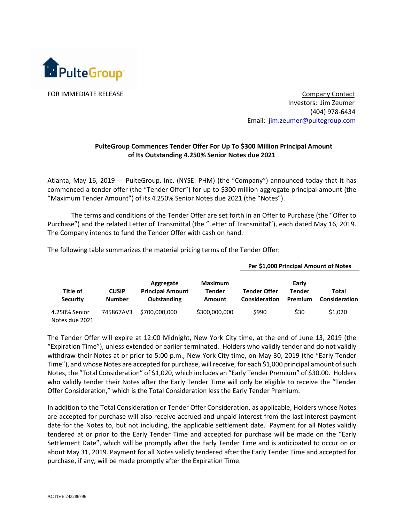

FOR IMMEDIATE RELEASE Company Contact Investors: Jim Zeumer (404) 978-6434 Email: [jim.zeumer@pultegroup.com](mailto:jim.zeumer@pultegroup.com)

**Per \$1,000 Principal Amount of Notes**

## **PulteGroup Commences Tender Offer For Up To \$300 Million Principal Amount of Its Outstanding 4.250% Senior Notes due 2021**

Atlanta, May 16, 2019 -- PulteGroup, Inc. (NYSE: PHM) (the "Company") announced today that it has commenced a tender offer (the "Tender Offer") for up to \$300 million aggregate principal amount (the "Maximum Tender Amount") of its 4.250% Senior Notes due 2021 (the "Notes").

The terms and conditions of the Tender Offer are set forth in an Offer to Purchase (the "Offer to Purchase") and the related Letter of Transmittal (the "Letter of Transmittal"), each dated May 16, 2019. The Company intends to fund the Tender Offer with cash on hand.

|                                 | <b>CUSIP</b><br><b>Number</b> | Aggregate<br><b>Principal Amount</b><br><b>Outstanding</b> | <b>Maximum</b><br><b>Tender</b><br><b>Amount</b> |                                             |                                   |                        |
|---------------------------------|-------------------------------|------------------------------------------------------------|--------------------------------------------------|---------------------------------------------|-----------------------------------|------------------------|
| Title of<br><b>Security</b>     |                               |                                                            |                                                  | <b>Tender Offer</b><br><b>Consideration</b> | Early<br>Tender<br><b>Premium</b> | Total<br>Consideration |
| 4.250% Senior<br>Notes due 2021 | 745867AV3                     | \$700,000,000                                              | \$300,000,000                                    | \$990                                       | \$30                              | \$1,020                |

The following table summarizes the material pricing terms of the Tender Offer:

The Tender Offer will expire at 12:00 Midnight, New York City time, at the end of June 13, 2019 (the "Expiration Time"), unless extended or earlier terminated. Holders who validly tender and do not validly withdraw their Notes at or prior to 5:00 p.m., New York City time, on May 30, 2019 (the "Early Tender Time"), and whose Notes are accepted for purchase, will receive, for each \$1,000 principal amount of such Notes, the "Total Consideration" of \$1,020, which includes an "Early Tender Premium" of \$30.00. Holders who validly tender their Notes after the Early Tender Time will only be eligible to receive the "Tender Offer Consideration," which is the Total Consideration less the Early Tender Premium.

In addition to the Total Consideration or Tender Offer Consideration, as applicable, Holders whose Notes are accepted for purchase will also receive accrued and unpaid interest from the last interest payment date for the Notes to, but not including, the applicable settlement date. Payment for all Notes validly tendered at or prior to the Early Tender Time and accepted for purchase will be made on the "Early Settlement Date", which will be promptly after the Early Tender Time and is anticipated to occur on or about May 31, 2019. Payment for all Notes validly tendered after the Early Tender Time and accepted for purchase, if any, will be made promptly after the Expiration Time.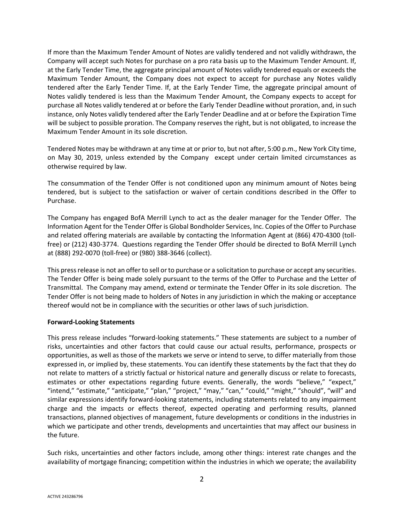If more than the Maximum Tender Amount of Notes are validly tendered and not validly withdrawn, the Company will accept such Notes for purchase on a pro rata basis up to the Maximum Tender Amount. If, at the Early Tender Time, the aggregate principal amount of Notes validly tendered equals or exceeds the Maximum Tender Amount, the Company does not expect to accept for purchase any Notes validly tendered after the Early Tender Time. If, at the Early Tender Time, the aggregate principal amount of Notes validly tendered is less than the Maximum Tender Amount, the Company expects to accept for purchase all Notes validly tendered at or before the Early Tender Deadline without proration, and, in such instance, only Notes validly tendered after the Early Tender Deadline and at or before the Expiration Time will be subject to possible proration. The Company reserves the right, but is not obligated, to increase the Maximum Tender Amount in its sole discretion.

Tendered Notes may be withdrawn at any time at or prior to, but not after, 5:00 p.m., New York City time, on May 30, 2019, unless extended by the Company except under certain limited circumstances as otherwise required by law.

The consummation of the Tender Offer is not conditioned upon any minimum amount of Notes being tendered, but is subject to the satisfaction or waiver of certain conditions described in the Offer to Purchase.

The Company has engaged BofA Merrill Lynch to act as the dealer manager for the Tender Offer. The Information Agent for the Tender Offer is Global Bondholder Services, Inc. Copies of the Offer to Purchase and related offering materials are available by contacting the Information Agent at (866) 470-4300 (tollfree) or (212) 430-3774. Questions regarding the Tender Offer should be directed to BofA Merrill Lynch at (888) 292-0070 (toll-free) or (980) 388-3646 (collect).

This press release is not an offer to sell or to purchase or a solicitation to purchase or accept any securities. The Tender Offer is being made solely pursuant to the terms of the Offer to Purchase and the Letter of Transmittal. The Company may amend, extend or terminate the Tender Offer in its sole discretion. The Tender Offer is not being made to holders of Notes in any jurisdiction in which the making or acceptance thereof would not be in compliance with the securities or other laws of such jurisdiction.

## **Forward-Looking Statements**

This press release includes "forward-looking statements." These statements are subject to a number of risks, uncertainties and other factors that could cause our actual results, performance, prospects or opportunities, as well as those of the markets we serve or intend to serve, to differ materially from those expressed in, or implied by, these statements. You can identify these statements by the fact that they do not relate to matters of a strictly factual or historical nature and generally discuss or relate to forecasts, estimates or other expectations regarding future events. Generally, the words "believe," "expect," "intend," "estimate," "anticipate," "plan," "project," "may," "can," "could," "might," "should", "will" and similar expressions identify forward-looking statements, including statements related to any impairment charge and the impacts or effects thereof, expected operating and performing results, planned transactions, planned objectives of management, future developments or conditions in the industries in which we participate and other trends, developments and uncertainties that may affect our business in the future.

Such risks, uncertainties and other factors include, among other things: interest rate changes and the availability of mortgage financing; competition within the industries in which we operate; the availability